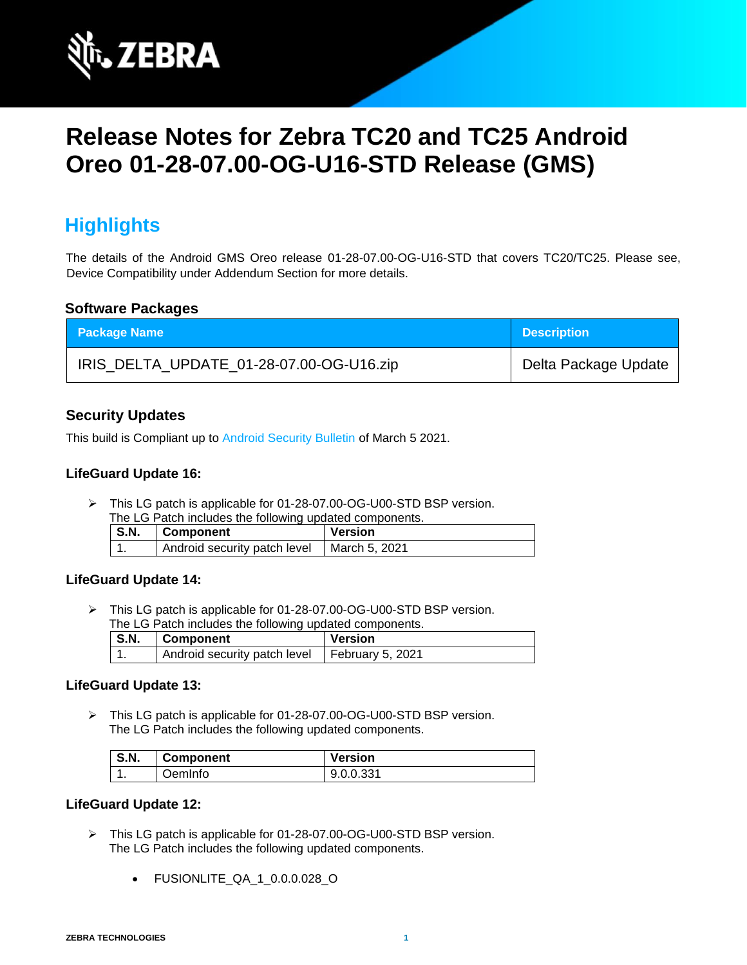

# **Release Notes for Zebra TC20 and TC25 Android Oreo 01-28-07.00-OG-U16-STD Release (GMS)**

## **Highlights**

The details of the Android GMS Oreo release 01-28-07.00-OG-U16-STD that covers TC20/TC25. Please see, Device Compatibility under Addendum Section for more details.

#### **Software Packages**

| <b>Package Name</b>                      | <b>Description</b>   |
|------------------------------------------|----------------------|
| IRIS_DELTA_UPDATE_01-28-07.00-OG-U16.zip | Delta Package Update |

### **Security Updates**

This build is Compliant up to [Android Security Bulletin](https://source.android.com/security/bulletin/) of March 5 2021.

#### **LifeGuard Update 16:**

➢ This LG patch is applicable for 01-28-07.00-OG-U00-STD BSP version. The LG Patch includes the following updated components.

| THE LOT AND HIGHAGES THE RUIDWING UPGARED COMPONEHIS. |                                              |         |
|-------------------------------------------------------|----------------------------------------------|---------|
| S.N.                                                  | <b>∣Component</b>                            | Version |
|                                                       | Android security patch level   March 5, 2021 |         |

### **LifeGuard Update 14:**

➢ This LG patch is applicable for 01-28-07.00-OG-U00-STD BSP version. The LG Patch includes the following updated components.

| $\mid$ S.N. | Component                                       | Version |
|-------------|-------------------------------------------------|---------|
|             | Android security patch level   February 5, 2021 |         |

#### **LifeGuard Update 13:**

➢ This LG patch is applicable for 01-28-07.00-OG-U00-STD BSP version. The LG Patch includes the following updated components.

| <b>S.N.</b> | <b>Component</b> | <b>Version</b> |
|-------------|------------------|----------------|
| . .         | .<br>JemInfo     | 9.0.0.331      |

#### **LifeGuard Update 12:**

- ➢ This LG patch is applicable for 01-28-07.00-OG-U00-STD BSP version. The LG Patch includes the following updated components.
	- FUSIONLITE\_QA\_1\_0.0.0.028\_O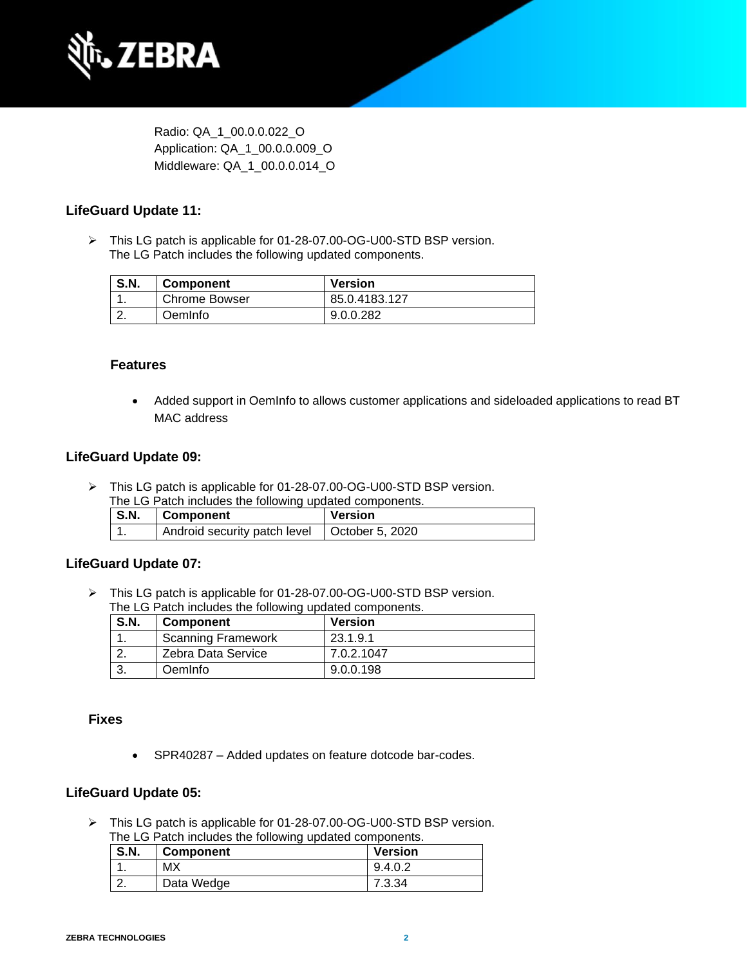

Radio: QA\_1\_00.0.0.022\_O Application: QA\_1\_00.0.0.009\_O Middleware: QA\_1\_00.0.0.014\_O

#### **LifeGuard Update 11:**

➢ This LG patch is applicable for 01-28-07.00-OG-U00-STD BSP version. The LG Patch includes the following updated components.

| <b>S.N.</b> | <b>Component</b> | <b>Version</b> |
|-------------|------------------|----------------|
|             | Chrome Bowser    | 85.0.4183.127  |
|             | OemInfo          | 9.0.0.282      |

#### **Features**

• Added support in OemInfo to allows customer applications and sideloaded applications to read BT MAC address

#### **LifeGuard Update 09:**

- ➢ This LG patch is applicable for 01-28-07.00-OG-U00-STD BSP version.
	- The LG Patch includes the following updated components.

| <b>S.N.</b> | Component                    | <b>Version</b>  |
|-------------|------------------------------|-----------------|
|             | Android security patch level | October 5, 2020 |

#### **LifeGuard Update 07:**

➢ This LG patch is applicable for 01-28-07.00-OG-U00-STD BSP version. The LG Patch includes the following updated components.

| S.N. | <b>Component</b>          | <b>Version</b> |
|------|---------------------------|----------------|
|      | <b>Scanning Framework</b> | 23.1.9.1       |
|      | Zebra Data Service        | 7.0.2.1047     |
|      | <b>Oemlnfo</b>            | 9.0.0.198      |

#### **Fixes**

• SPR40287 – Added updates on feature dotcode bar-codes.

#### **LifeGuard Update 05:**

➢ This LG patch is applicable for 01-28-07.00-OG-U00-STD BSP version. The LG Patch includes the following updated components.

| <b>S.N.</b> | <b>Component</b> | <b>Version</b> |
|-------------|------------------|----------------|
|             | МX               | 9.4.0.2        |
|             | Data Wedge       | 7.3.34         |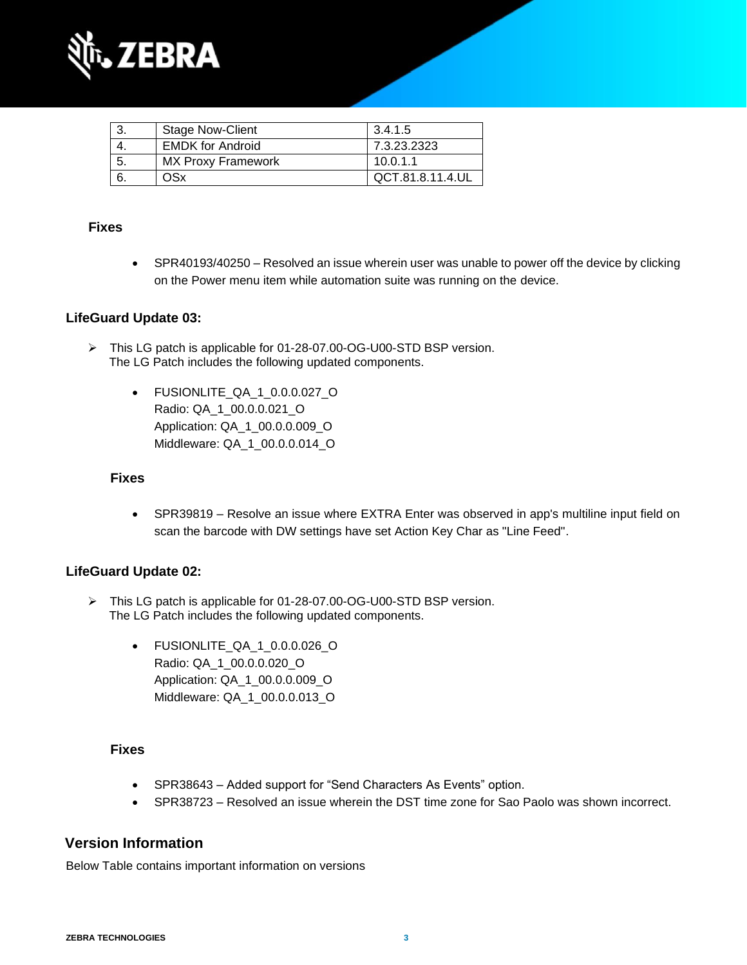

|    | <b>Stage Now-Client</b>   | 3.4.1.5          |
|----|---------------------------|------------------|
|    | <b>EMDK</b> for Android   | 7.3.23.2323      |
| 5. | <b>MX Proxy Framework</b> | 10.0.1.1         |
|    | OSx                       | QCT.81.8.11.4.UL |

## **Fixes**

• SPR40193/40250 – Resolved an issue wherein user was unable to power off the device by clicking on the Power menu item while automation suite was running on the device.

## **LifeGuard Update 03:**

- ➢ This LG patch is applicable for 01-28-07.00-OG-U00-STD BSP version. The LG Patch includes the following updated components.
	- FUSIONLITE\_QA\_1\_0.0.0.027\_O Radio: QA\_1\_00.0.0.021\_O Application: QA\_1\_00.0.0.009\_O Middleware: QA\_1\_00.0.0.014\_O

#### **Fixes**

• SPR39819 – Resolve an issue where EXTRA Enter was observed in app's multiline input field on scan the barcode with DW settings have set Action Key Char as "Line Feed".

#### **LifeGuard Update 02:**

- ➢ This LG patch is applicable for 01-28-07.00-OG-U00-STD BSP version. The LG Patch includes the following updated components.
	- FUSIONLITE\_QA\_1\_0.0.0.026\_O Radio: QA\_1\_00.0.0.020\_O Application: QA\_1\_00.0.0.009\_O Middleware: QA\_1\_00.0.0.013\_O

#### **Fixes**

- SPR38643 Added support for "Send Characters As Events" option.
- SPR38723 Resolved an issue wherein the DST time zone for Sao Paolo was shown incorrect.

### **Version Information**

Below Table contains important information on versions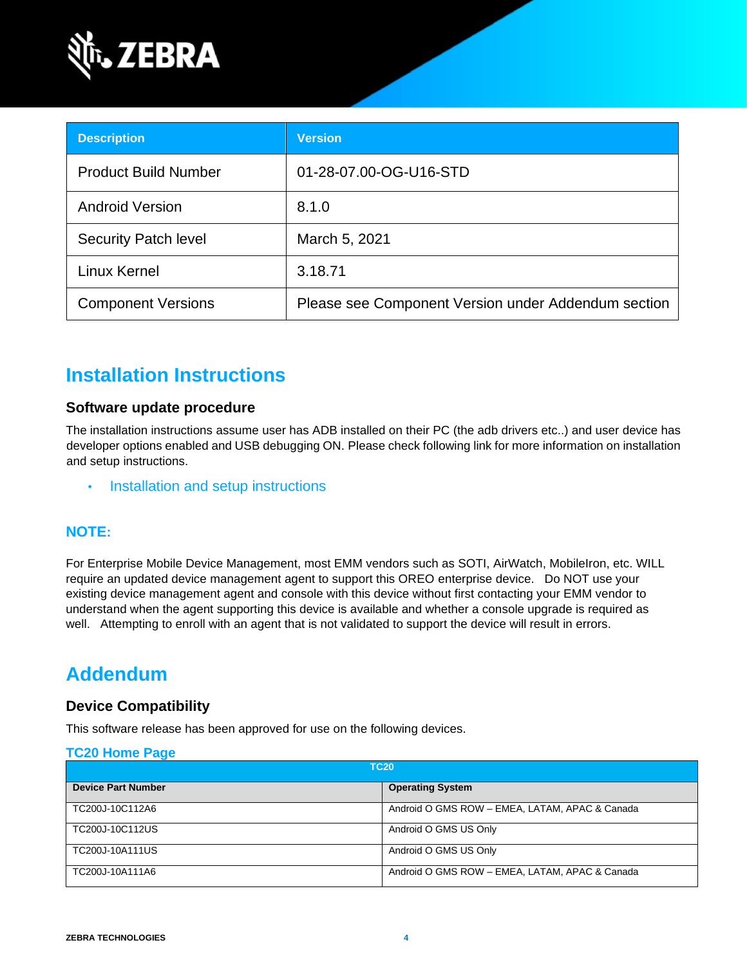

| <b>Description</b>          | <b>Version</b>                                      |
|-----------------------------|-----------------------------------------------------|
| <b>Product Build Number</b> | 01-28-07.00-OG-U16-STD                              |
| <b>Android Version</b>      | 8.1.0                                               |
| <b>Security Patch level</b> | March 5, 2021                                       |
| <b>Linux Kernel</b>         | 3.18.71                                             |
| <b>Component Versions</b>   | Please see Component Version under Addendum section |

## **Installation Instructions**

### **Software update procedure**

The installation instructions assume user has ADB installed on their PC (the adb drivers etc..) and user device has developer options enabled and USB debugging ON. Please check following link for more information on installation and setup instructions.

• [Installation and setup instructions](https://www.zebra.com/content/dam/zebra_new_ia/en-us/software/operating-system/tc20-operating-system/Android-O-OS-Update-TC20-and-TC25-GMS.pdf)

## **NOTE:**

For Enterprise Mobile Device Management, most EMM vendors such as SOTI, AirWatch, MobileIron, etc. WILL require an updated device management agent to support this OREO enterprise device. Do NOT use your existing device management agent and console with this device without first contacting your EMM vendor to understand when the agent supporting this device is available and whether a console upgrade is required as well. Attempting to enroll with an agent that is not validated to support the device will result in errors.

## **Addendum**

## **Device Compatibility**

This software release has been approved for use on the following devices.

#### **[TC20 Home Page](https://www.zebra.com/us/en/support-downloads/software/operating-system/tc20-operating-system.html)**

| <b>TC20</b>               |                                                |
|---------------------------|------------------------------------------------|
| <b>Device Part Number</b> | <b>Operating System</b>                        |
| TC200J-10C112A6           | Android O GMS ROW - EMEA, LATAM, APAC & Canada |
| TC200J-10C112US           | Android O GMS US Only                          |
| TC200J-10A111US           | Android O GMS US Only                          |
| TC200J-10A111A6           | Android O GMS ROW - EMEA, LATAM, APAC & Canada |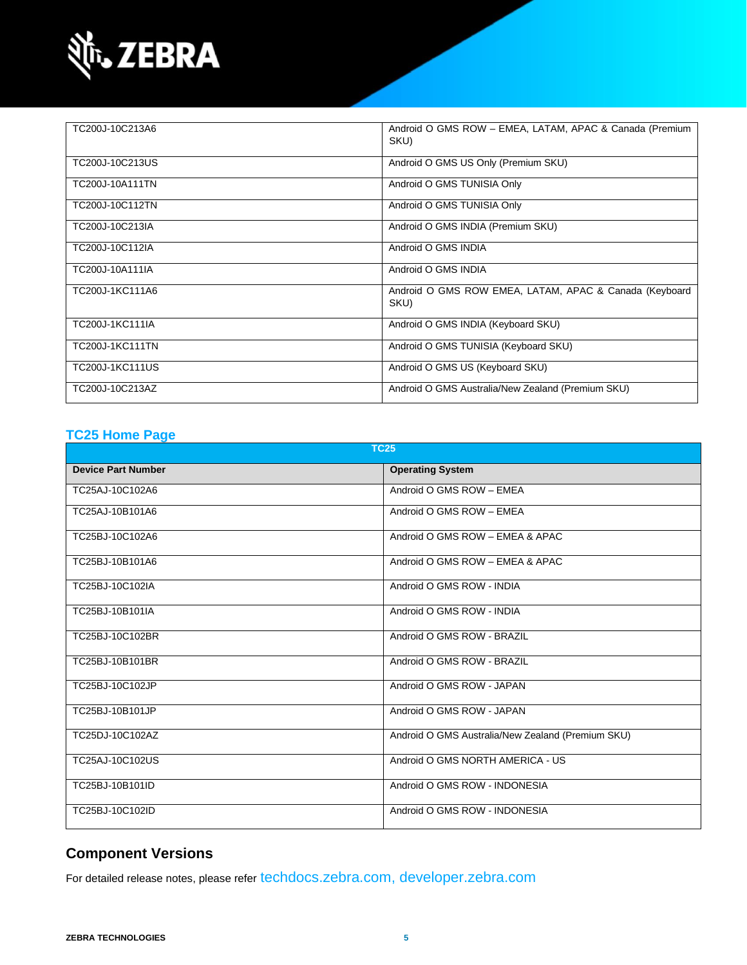

| TC200J-10C213A6        | Android O GMS ROW - EMEA, LATAM, APAC & Canada (Premium<br>SKU) |
|------------------------|-----------------------------------------------------------------|
| TC200J-10C213US        | Android O GMS US Only (Premium SKU)                             |
| TC200J-10A111TN        | Android O GMS TUNISIA Only                                      |
| TC200J-10C112TN        | Android O GMS TUNISIA Only                                      |
| TC200J-10C213IA        | Android O GMS INDIA (Premium SKU)                               |
| TC200J-10C112IA        | Android O GMS INDIA                                             |
| TC200J-10A111IA        | Android O GMS INDIA                                             |
| TC200J-1KC111A6        | Android O GMS ROW EMEA, LATAM, APAC & Canada (Keyboard<br>SKU)  |
| TC200J-1KC111IA        | Android O GMS INDIA (Keyboard SKU)                              |
| <b>TC200J-1KC111TN</b> | Android O GMS TUNISIA (Keyboard SKU)                            |
| TC200J-1KC111US        | Android O GMS US (Keyboard SKU)                                 |
| TC200J-10C213AZ        | Android O GMS Australia/New Zealand (Premium SKU)               |

### **[TC25 Home Page](https://www.zebra.com/us/en/support-downloads/software/operating-system/tc25-operating-system.html)**

| <b>TC25</b>               |                                                   |  |
|---------------------------|---------------------------------------------------|--|
| <b>Device Part Number</b> | <b>Operating System</b>                           |  |
| TC25AJ-10C102A6           | Android O GMS ROW - EMEA                          |  |
| TC25AJ-10B101A6           | Android O GMS ROW - EMEA                          |  |
| TC25BJ-10C102A6           | Android O GMS ROW - EMEA & APAC                   |  |
| TC25BJ-10B101A6           | Android O GMS ROW - EMEA & APAC                   |  |
| TC25BJ-10C102IA           | Android O GMS ROW - INDIA                         |  |
| TC25BJ-10B101IA           | Android O GMS ROW - INDIA                         |  |
| TC25BJ-10C102BR           | Android O GMS ROW - BRAZIL                        |  |
| TC25BJ-10B101BR           | Android O GMS ROW - BRAZIL                        |  |
| TC25BJ-10C102JP           | Android O GMS ROW - JAPAN                         |  |
| TC25BJ-10B101JP           | Android O GMS ROW - JAPAN                         |  |
| TC25DJ-10C102AZ           | Android O GMS Australia/New Zealand (Premium SKU) |  |
| TC25AJ-10C102US           | Android O GMS NORTH AMERICA - US                  |  |
| TC25BJ-10B101ID           | Android O GMS ROW - INDONESIA                     |  |
| TC25BJ-10C102ID           | Android O GMS ROW - INDONESIA                     |  |

## **Component Versions**

For detailed release notes, please refer [techdocs.zebra.com,](https://techdocs.zebra.com/) [developer.zebra.com](https://developer.zebra.com/)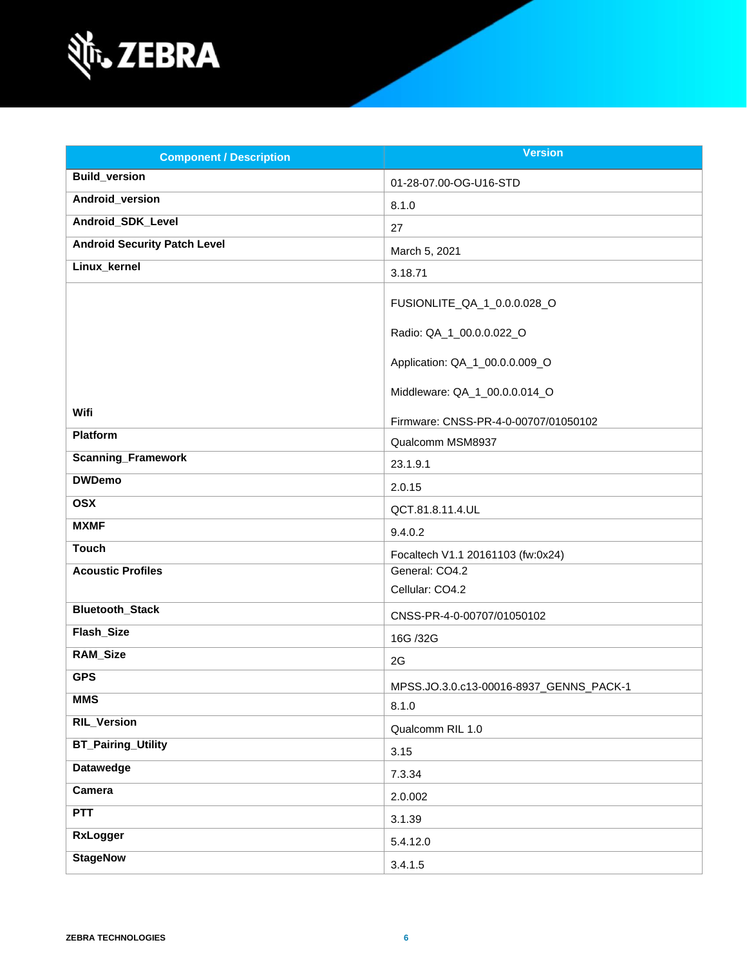

| <b>Component / Description</b>      | <b>Version</b>                          |
|-------------------------------------|-----------------------------------------|
| <b>Build_version</b>                | 01-28-07.00-OG-U16-STD                  |
| Android_version                     | 8.1.0                                   |
| Android_SDK_Level                   | 27                                      |
| <b>Android Security Patch Level</b> | March 5, 2021                           |
| Linux_kernel                        | 3.18.71                                 |
|                                     | FUSIONLITE_QA_1_0.0.0.028_O             |
|                                     | Radio: QA_1_00.0.0.022_O                |
|                                     | Application: QA_1_00.0.0.009_O          |
|                                     | Middleware: QA_1_00.0.0.014_O           |
| Wifi                                | Firmware: CNSS-PR-4-0-00707/01050102    |
| Platform                            | Qualcomm MSM8937                        |
| <b>Scanning_Framework</b>           | 23.1.9.1                                |
| <b>DWDemo</b>                       | 2.0.15                                  |
| <b>OSX</b>                          | QCT.81.8.11.4.UL                        |
| <b>MXMF</b>                         | 9.4.0.2                                 |
| <b>Touch</b>                        | Focaltech V1.1 20161103 (fw:0x24)       |
| <b>Acoustic Profiles</b>            | General: CO4.2                          |
|                                     | Cellular: CO4.2                         |
| <b>Bluetooth_Stack</b>              | CNSS-PR-4-0-00707/01050102              |
| <b>Flash Size</b>                   | 16G /32G                                |
| RAM_Size                            | 2G                                      |
| <b>GPS</b>                          | MPSS.JO.3.0.c13-00016-8937_GENNS_PACK-1 |
| <b>MMS</b>                          | 8.1.0                                   |
| <b>RIL_Version</b>                  | Qualcomm RIL 1.0                        |
| <b>BT_Pairing_Utility</b>           | 3.15                                    |
| <b>Datawedge</b>                    | 7.3.34                                  |
| <b>Camera</b>                       | 2.0.002                                 |
| PTT                                 | 3.1.39                                  |
| <b>RxLogger</b>                     | 5.4.12.0                                |
| <b>StageNow</b>                     | 3.4.1.5                                 |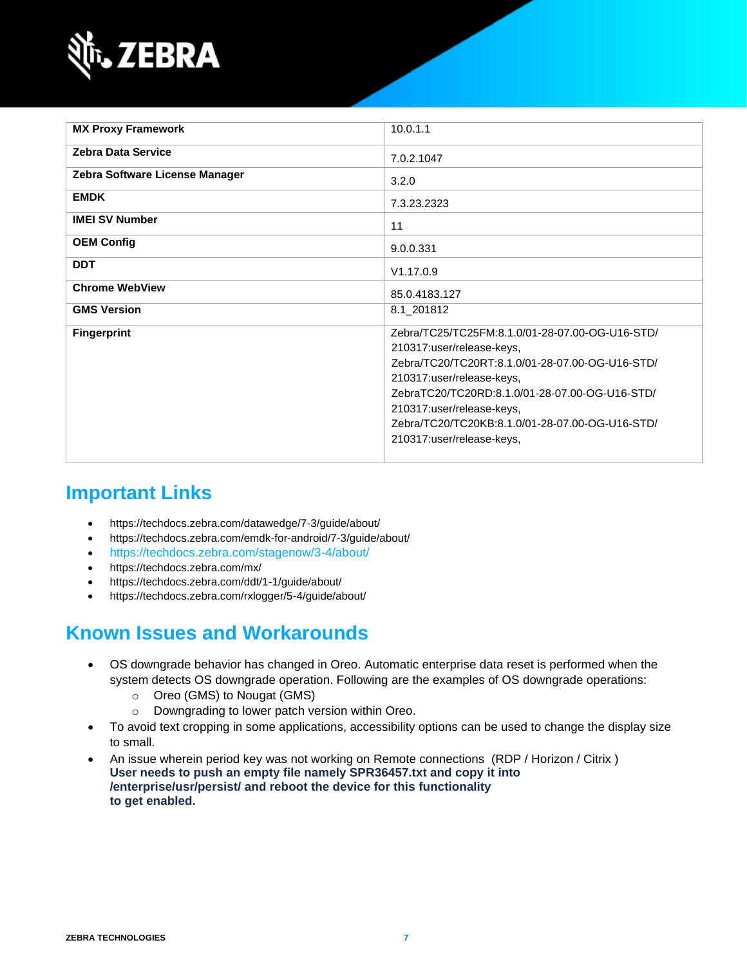

| <b>MX Proxy Framework</b>      | 10.0.1.1                                                                                                                                                                                                                                                                                                                    |
|--------------------------------|-----------------------------------------------------------------------------------------------------------------------------------------------------------------------------------------------------------------------------------------------------------------------------------------------------------------------------|
| <b>Zebra Data Service</b>      | 7.0.2.1047                                                                                                                                                                                                                                                                                                                  |
| Zebra Software License Manager | 3.2.0                                                                                                                                                                                                                                                                                                                       |
| <b>EMDK</b>                    | 7.3.23.2323                                                                                                                                                                                                                                                                                                                 |
| <b>IMEI SV Number</b>          | 11                                                                                                                                                                                                                                                                                                                          |
| <b>OEM Config</b>              | 9.0.0.331                                                                                                                                                                                                                                                                                                                   |
| <b>DDT</b>                     | V1.17.0.9                                                                                                                                                                                                                                                                                                                   |
| <b>Chrome WebView</b>          | 85.0.4183.127                                                                                                                                                                                                                                                                                                               |
| <b>GMS Version</b>             | 8.1 201812                                                                                                                                                                                                                                                                                                                  |
| <b>Fingerprint</b>             | Zebra/TC25/TC25FM:8.1.0/01-28-07.00-OG-U16-STD/<br>210317:user/release-keys,<br>Zebra/TC20/TC20RT:8.1.0/01-28-07.00-OG-U16-STD/<br>210317:user/release-keys,<br>ZebraTC20/TC20RD:8.1.0/01-28-07.00-OG-U16-STD/<br>210317:user/release-keys,<br>Zebra/TC20/TC20KB:8.1.0/01-28-07.00-OG-U16-STD/<br>210317:user/release-keys, |

## **Important Links**

- <https://techdocs.zebra.com/datawedge/7-3/guide/about/>
- <https://techdocs.zebra.com/emdk-for-android/7-3/guide/about/>
- <https://techdocs.zebra.com/stagenow/3-4/about/>
- <https://techdocs.zebra.com/mx/>
- <https://techdocs.zebra.com/ddt/1-1/guide/about/>
- <https://techdocs.zebra.com/rxlogger/5-4/guide/about/>

## **Known Issues and Workarounds**

- OS downgrade behavior has changed in Oreo. Automatic enterprise data reset is performed when the system detects OS downgrade operation. Following are the examples of OS downgrade operations:
	- o Oreo (GMS) to Nougat (GMS)
	- o Downgrading to lower patch version within Oreo.
- To avoid text cropping in some applications, accessibility options can be used to change the display size to small.
- An issue wherein period key was not working on Remote connections (RDP / Horizon / Citrix ) **User needs to push an empty file namely SPR36457.txt and copy it into /enterprise/usr/persist/ and reboot the device for this functionality to get enabled.**